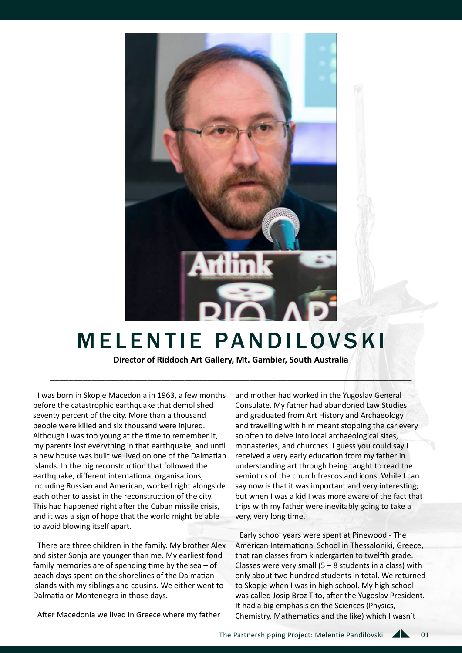

## **MELENTIE PANDILOVSKI**

**Director of Riddoch Art Gallery, Mt. Gambier, South Australia** 

**\_\_\_\_\_\_\_\_\_\_\_\_\_\_\_\_\_\_\_\_\_\_\_\_\_\_\_\_\_\_\_\_\_\_\_\_\_\_\_\_\_\_\_\_\_\_\_\_\_\_\_\_\_\_\_\_\_\_\_\_\_\_\_\_\_\_\_\_\_\_\_\_\_\_\_\_\_\_**

I was born in Skopje Macedonia in 1963, a few months before the catastrophic earthquake that demolished seventy percent of the city. More than a thousand people were killed and six thousand were injured. Although I was too young at the time to remember it, my parents lost everything in that earthquake, and until a new house was built we lived on one of the Dalmatian Islands. In the big reconstruction that followed the earthquake, different international organisations, including Russian and American, worked right alongside each other to assist in the reconstruction of the city. This had happened right after the Cuban missile crisis, and it was a sign of hope that the world might be able to avoid blowing itself apart.

There are three children in the family. My brother Alex and sister Sonja are younger than me. My earliest fond family memories are of spending time by the sea – of beach days spent on the shorelines of the Dalmatian Islands with my siblings and cousins. We either went to Dalmatia or Montenegro in those days.

After Macedonia we lived in Greece where my father

and mother had worked in the Yugoslav General Consulate. My father had abandoned Law Studies and graduated from Art History and Archaeology and travelling with him meant stopping the car every so often to delve into local archaeological sites, monasteries, and churches. I guess you could say I received a very early education from my father in understanding art through being taught to read the semiotics of the church frescos and icons. While I can say now is that it was important and very interesting; but when I was a kid I was more aware of the fact that trips with my father were inevitably going to take a very, very long time.

Early school years were spent at Pinewood - The American International School in Thessaloniki, Greece, that ran classes from kindergarten to twelfth grade. Classes were very small  $(5 - 8$  students in a class) with only about two hundred students in total. We returned to Skopje when I was in high school. My high school was called Josip Broz Tito, after the Yugoslav President. It had a big emphasis on the Sciences (Physics, Chemistry, Mathematics and the like) which I wasn't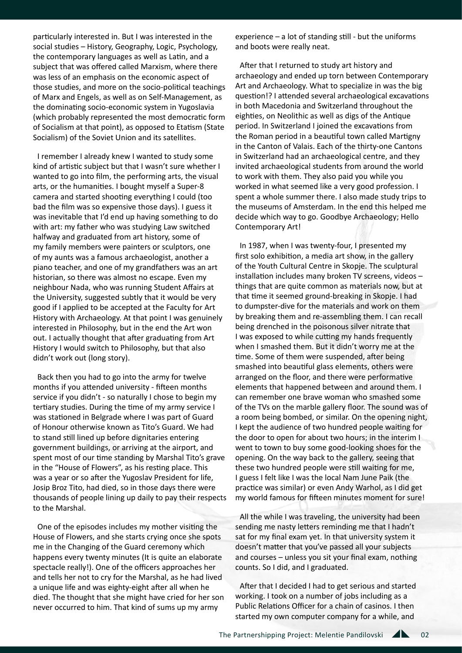particularly interested in. But I was interested in the social studies – History, Geography, Logic, Psychology, the contemporary languages as well as Latin, and a subject that was offered called Marxism, where there was less of an emphasis on the economic aspect of those studies, and more on the socio-political teachings of Marx and Engels, as well as on Self-Management, as the dominating socio-economic system in Yugoslavia (which probably represented the most democratic form of Socialism at that point), as opposed to Etatism (State Socialism) of the Soviet Union and its satellites.

I remember I already knew I wanted to study some kind of artistic subject but that I wasn't sure whether I wanted to go into film, the performing arts, the visual arts, or the humanities. I bought myself a Super-8 camera and started shooting everything I could (too bad the film was so expensive those days). I guess it was inevitable that I'd end up having something to do with art: my father who was studying Law switched halfway and graduated from art history, some of my family members were painters or sculptors, one of my aunts was a famous archaeologist, another a piano teacher, and one of my grandfathers was an art historian, so there was almost no escape. Even my neighbour Nada, who was running Student Affairs at the University, suggested subtly that it would be very good if I applied to be accepted at the Faculty for Art History with Archaeology. At that point I was genuinely interested in Philosophy, but in the end the Art won out. I actually thought that after graduating from Art History I would switch to Philosophy, but that also didn't work out (long story).

Back then you had to go into the army for twelve months if you attended university - fifteen months service if you didn't - so naturally I chose to begin my tertiary studies. During the time of my army service I was stationed in Belgrade where I was part of Guard of Honour otherwise known as Tito's Guard. We had to stand still lined up before dignitaries entering government buildings, or arriving at the airport, and spent most of our time standing by Marshal Tito's grave in the "House of Flowers", as his resting place. This was a year or so after the Yugoslav President for life, Josip Broz Tito, had died, so in those days there were thousands of people lining up daily to pay their respects to the Marshal.

One of the episodes includes my mother visiting the House of Flowers, and she starts crying once she spots me in the Changing of the Guard ceremony which happens every twenty minutes (It is quite an elaborate spectacle really!). One of the officers approaches her and tells her not to cry for the Marshal, as he had lived a unique life and was eighty-eight after all when he died. The thought that she might have cried for her son never occurred to him. That kind of sums up my army

experience – a lot of standing still - but the uniforms and boots were really neat.

After that I returned to study art history and archaeology and ended up torn between Contemporary Art and Archaeology. What to specialize in was the big question!? I attended several archaeological excavations in both Macedonia and Switzerland throughout the eighties, on Neolithic as well as digs of the Antique period. In Switzerland I joined the excavations from the Roman period in a beautiful town called Martigny in the Canton of Valais. Each of the thirty-one Cantons in Switzerland had an archaeological centre, and they invited archaeological students from around the world to work with them. They also paid you while you worked in what seemed like a very good profession. I spent a whole summer there. I also made study trips to the museums of Amsterdam. In the end this helped me decide which way to go. Goodbye Archaeology; Hello Contemporary Art!

In 1987, when I was twenty-four, I presented my first solo exhibition, a media art show, in the gallery of the Youth Cultural Centre in Skopje. The sculptural installation includes many broken TV screens, videos – things that are quite common as materials now, but at that time it seemed ground-breaking in Skopje. I had to dumpster-dive for the materials and work on them by breaking them and re-assembling them. I can recall being drenched in the poisonous silver nitrate that I was exposed to while cutting my hands frequently when I smashed them. But it didn't worry me at the time. Some of them were suspended, after being smashed into beautiful glass elements, others were arranged on the floor, and there were performative elements that happened between and around them. I can remember one brave woman who smashed some of the TVs on the marble gallery floor. The sound was of a room being bombed, or similar. On the opening night, I kept the audience of two hundred people waiting for the door to open for about two hours; in the interim I went to town to buy some good-looking shoes for the opening. On the way back to the gallery, seeing that these two hundred people were still waiting for me, I guess I felt like I was the local Nam June Paik (the practice was similar) or even Andy Warhol, as I did get my world famous for fifteen minutes moment for sure!

All the while I was traveling, the university had been sending me nasty letters reminding me that I hadn't sat for my final exam yet. In that university system it doesn't matter that you've passed all your subjects and courses – unless you sit your final exam, nothing counts. So I did, and I graduated.

After that I decided I had to get serious and started working. I took on a number of jobs including as a Public Relations Officer for a chain of casinos. I then started my own computer company for a while, and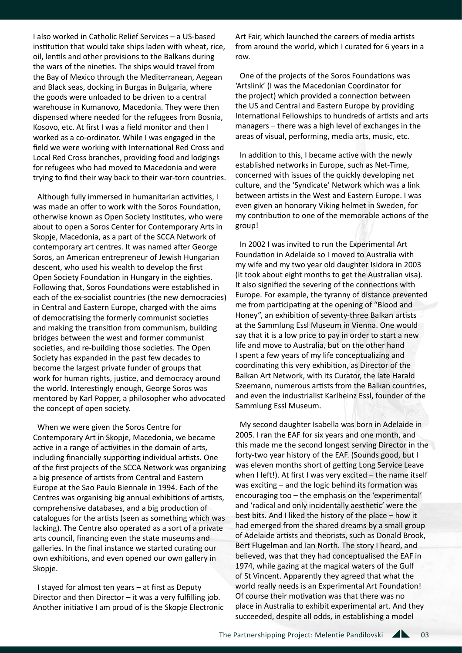I also worked in Catholic Relief Services – a US-based institution that would take ships laden with wheat, rice, oil, lentils and other provisions to the Balkans during the wars of the nineties. The ships would travel from the Bay of Mexico through the Mediterranean, Aegean and Black seas, docking in Burgas in Bulgaria, where the goods were unloaded to be driven to a central warehouse in Kumanovo, Macedonia. They were then dispensed where needed for the refugees from Bosnia, Kosovo, etc. At first I was a field monitor and then I worked as a co-ordinator. While I was engaged in the field we were working with International Red Cross and Local Red Cross branches, providing food and lodgings for refugees who had moved to Macedonia and were trying to find their way back to their war-torn countries.

Although fully immersed in humanitarian activities, I was made an offer to work with the Soros Foundation, otherwise known as Open Society Institutes, who were about to open a Soros Center for Contemporary Arts in Skopje, Macedonia, as a part of the SCCA Network of contemporary art centres. It was named after George Soros, an American entrepreneur of Jewish Hungarian descent, who used his wealth to develop the first Open Society Foundation in Hungary in the eighties. Following that, Soros Foundations were established in each of the ex-socialist countries (the new democracies) in Central and Eastern Europe, charged with the aims of democratising the formerly communist societies and making the transition from communism, building bridges between the west and former communist societies, and re-building those societies. The Open Society has expanded in the past few decades to become the largest private funder of groups that work for human rights, justice, and democracy around the world. Interestingly enough, George Soros was mentored by Karl Popper, a philosopher who advocated the concept of open society.

When we were given the Soros Centre for Contemporary Art in Skopje, Macedonia, we became active in a range of activities in the domain of arts, including financially supporting individual artists. One of the first projects of the SCCA Network was organizing a big presence of artists from Central and Eastern Europe at the Sao Paulo Biennale in 1994. Each of the Centres was organising big annual exhibitions of artists, comprehensive databases, and a big production of catalogues for the artists (seen as something which was lacking). The Centre also operated as a sort of a private arts council, financing even the state museums and galleries. In the final instance we started curating our own exhibitions, and even opened our own gallery in Skopje.

I stayed for almost ten years – at first as Deputy Director and then Director – it was a very fulfilling job. Another initiative I am proud of is the Skopje Electronic

Art Fair, which launched the careers of media artists from around the world, which I curated for 6 years in a row.

One of the projects of the Soros Foundations was 'Artslink' (I was the Macedonian Coordinator for the project) which provided a connection between the US and Central and Eastern Europe by providing International Fellowships to hundreds of artists and arts managers – there was a high level of exchanges in the areas of visual, performing, media arts, music, etc.

In addition to this, I became active with the newly established networks in Europe, such as Net-Time, concerned with issues of the quickly developing net culture, and the 'Syndicate' Network which was a link between artists in the West and Eastern Europe. I was even given an honorary Viking helmet in Sweden, for my contribution to one of the memorable actions of the group!

In 2002 I was invited to run the Experimental Art Foundation in Adelaide so I moved to Australia with my wife and my two year old daughter Isidora in 2003 (it took about eight months to get the Australian visa). It also signified the severing of the connections with Europe. For example, the tyranny of distance prevented me from participating at the opening of "Blood and Honey", an exhibition of seventy-three Balkan artists at the Sammlung Essl Museum in Vienna. One would say that it is a low price to pay in order to start a new life and move to Australia, but on the other hand I spent a few years of my life conceptualizing and coordinating this very exhibition, as Director of the Balkan Art Network, with its Curator, the late Harald Szeemann, numerous artists from the Balkan countries, and even the industrialist Karlheinz Essl, founder of the Sammlung Essl Museum.

My second daughter Isabella was born in Adelaide in 2005. I ran the EAF for six years and one month, and this made me the second longest serving Director in the forty-two year history of the EAF. (Sounds good, but I was eleven months short of getting Long Service Leave when I left!). At first I was very excited – the name itself was exciting – and the logic behind its formation was encouraging too – the emphasis on the 'experimental' and 'radical and only incidentally aesthetic' were the best bits. And I liked the history of the place – how it had emerged from the shared dreams by a small group of Adelaide artists and theorists, such as Donald Brook, Bert Flugelman and Ian North. The story I heard, and believed, was that they had conceptualised the EAF in 1974, while gazing at the magical waters of the Gulf of St Vincent. Apparently they agreed that what the world really needs is an Experimental Art Foundation! Of course their motivation was that there was no place in Australia to exhibit experimental art. And they succeeded, despite all odds, in establishing a model

03